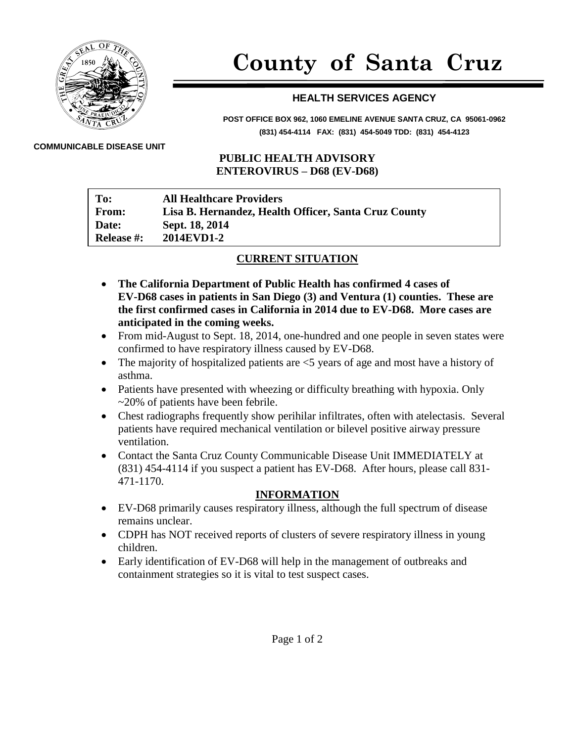

# **County of Santa Cruz**

## **HEALTH SERVICES AGENCY**

**POST OFFICE BOX 962, 1060 EMELINE AVENUE SANTA CRUZ, CA 95061-0962 (831) 454-4114 FAX: (831) 454-5049 TDD: (831) 454-4123**

#### **COMMUNICABLE DISEASE UNIT**

#### **PUBLIC HEALTH ADVISORY ENTEROVIRUS – D68 (EV-D68)**

| To:               | <b>All Healthcare Providers</b>                      |
|-------------------|------------------------------------------------------|
| <b>From:</b>      | Lisa B. Hernandez, Health Officer, Santa Cruz County |
| Date:             | Sept. 18, 2014                                       |
| <b>Release #:</b> | 2014EVD1-2                                           |

### **CURRENT SITUATION**

- **The California Department of Public Health has confirmed 4 cases of EV-D68 cases in patients in San Diego (3) and Ventura (1) counties. These are the first confirmed cases in California in 2014 due to EV-D68. More cases are anticipated in the coming weeks.**
- From mid-August to Sept. 18, 2014, one-hundred and one people in seven states were confirmed to have respiratory illness caused by EV-D68.
- The majority of hospitalized patients are  $\leq$  years of age and most have a history of asthma.
- Patients have presented with wheezing or difficulty breathing with hypoxia. Only ~20% of patients have been febrile.
- Chest radiographs frequently show perihilar infiltrates, often with atelectasis. Several patients have required mechanical ventilation or bilevel positive airway pressure ventilation.
- Contact the Santa Cruz County Communicable Disease Unit IMMEDIATELY at (831) 454-4114 if you suspect a patient has EV-D68. After hours, please call 831- 471-1170.

### **INFORMATION**

- EV-D68 primarily causes respiratory illness, although the full spectrum of disease remains unclear.
- CDPH has NOT received reports of clusters of severe respiratory illness in young children.
- Early identification of EV-D68 will help in the management of outbreaks and containment strategies so it is vital to test suspect cases.